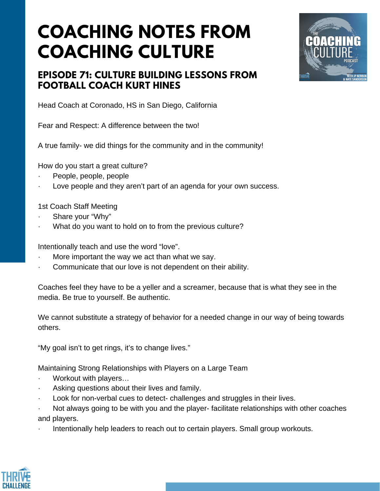## **COACHING NOTES FROM COACHING CULTURE**



## **EPISODE 71: CULTURE BUILDING LESSONS FROM FOOTBALL COACH KURT HINES**

Head Coach at Coronado, HS in San Diego, California

Fear and Respect: A difference between the two!

A true family- we did things for the community and in the community!

How do you start a great culture?

- People, people, people
- Love people and they aren't part of an agenda for your own success.

1st Coach Staff Meeting

- Share your "Why"
- What do you want to hold on to from the previous culture?

Intentionally teach and use the word "love".

- More important the way we act than what we say.
- Communicate that our love is not dependent on their ability.

Coaches feel they have to be a yeller and a screamer, because that is what they see in the media. Be true to yourself. Be authentic.

We cannot substitute a strategy of behavior for a needed change in our way of being towards others.

"My goal isn't to get rings, it's to change lives."

Maintaining Strong Relationships with Players on a Large Team

- Workout with players...
- Asking questions about their lives and family.
- Look for non-verbal cues to detect- challenges and struggles in their lives.
- · Not always going to be with you and the player- facilitate relationships with other coaches and players.
- Intentionally help leaders to reach out to certain players. Small group workouts.